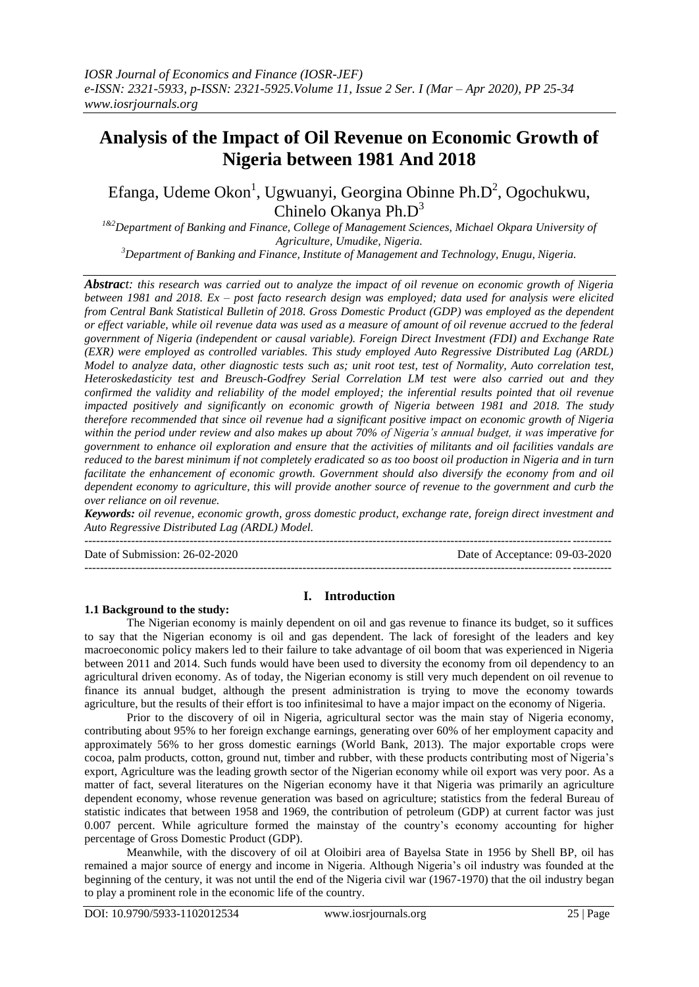# **Analysis of the Impact of Oil Revenue on Economic Growth of Nigeria between 1981 And 2018**

# Efanga, Udeme Okon<sup>1</sup>, Ugwuanyi, Georgina Obinne Ph.D<sup>2</sup>, Ogochukwu, Chinelo Okanya Ph. $D^3$

<sup>1&2</sup>Department of Banking and Finance, College of Management Sciences, Michael Okpara University of *Agriculture, Umudike, Nigeria. <sup>3</sup>Department of Banking and Finance, Institute of Management and Technology, Enugu, Nigeria.*

*Abstract: this research was carried out to analyze the impact of oil revenue on economic growth of Nigeria between 1981 and 2018. Ex – post facto research design was employed; data used for analysis were elicited from Central Bank Statistical Bulletin of 2018. Gross Domestic Product (GDP) was employed as the dependent or effect variable, while oil revenue data was used as a measure of amount of oil revenue accrued to the federal government of Nigeria (independent or causal variable). Foreign Direct Investment (FDI) and Exchange Rate (EXR) were employed as controlled variables. This study employed Auto Regressive Distributed Lag (ARDL) Model to analyze data, other diagnostic tests such as; unit root test, test of Normality, Auto correlation test, Heteroskedasticity test and Breusch-Godfrey Serial Correlation LM test were also carried out and they confirmed the validity and reliability of the model employed; the inferential results pointed that oil revenue impacted positively and significantly on economic growth of Nigeria between 1981 and 2018. The study therefore recommended that since oil revenue had a significant positive impact on economic growth of Nigeria within the period under review and also makes up about 70% of Nigeria's annual budget, it was imperative for government to enhance oil exploration and ensure that the activities of militants and oil facilities vandals are reduced to the barest minimum if not completely eradicated so as too boost oil production in Nigeria and in turn facilitate the enhancement of economic growth. Government should also diversify the economy from and oil dependent economy to agriculture, this will provide another source of revenue to the government and curb the over reliance on oil revenue.*

*Keywords: oil revenue, economic growth, gross domestic product, exchange rate, foreign direct investment and Auto Regressive Distributed Lag (ARDL) Model.*

---------------------------------------------------------------------------------------------------------------------------------------

Date of Submission: 26-02-2020 Date of Acceptance: 09-03-2020  $-1-\frac{1}{2}$ 

# **1.1 Background to the study:**

## **I. Introduction**

The Nigerian economy is mainly dependent on oil and gas revenue to finance its budget, so it suffices to say that the Nigerian economy is oil and gas dependent. The lack of foresight of the leaders and key macroeconomic policy makers led to their failure to take advantage of oil boom that was experienced in Nigeria between 2011 and 2014. Such funds would have been used to diversity the economy from oil dependency to an agricultural driven economy. As of today, the Nigerian economy is still very much dependent on oil revenue to finance its annual budget, although the present administration is trying to move the economy towards agriculture, but the results of their effort is too infinitesimal to have a major impact on the economy of Nigeria.

Prior to the discovery of oil in Nigeria, agricultural sector was the main stay of Nigeria economy, contributing about 95% to her foreign exchange earnings, generating over 60% of her employment capacity and approximately 56% to her gross domestic earnings (World Bank, 2013). The major exportable crops were cocoa, palm products, cotton, ground nut, timber and rubber, with these products contributing most of Nigeria's export, Agriculture was the leading growth sector of the Nigerian economy while oil export was very poor. As a matter of fact, several literatures on the Nigerian economy have it that Nigeria was primarily an agriculture dependent economy, whose revenue generation was based on agriculture; statistics from the federal Bureau of statistic indicates that between 1958 and 1969, the contribution of petroleum (GDP) at current factor was just 0.007 percent. While agriculture formed the mainstay of the country's economy accounting for higher percentage of Gross Domestic Product (GDP).

Meanwhile, with the discovery of oil at Oloibiri area of Bayelsa State in 1956 by Shell BP, oil has remained a major source of energy and income in Nigeria. Although Nigeria's oil industry was founded at the beginning of the century, it was not until the end of the Nigeria civil war (1967-1970) that the oil industry began to play a prominent role in the economic life of the country.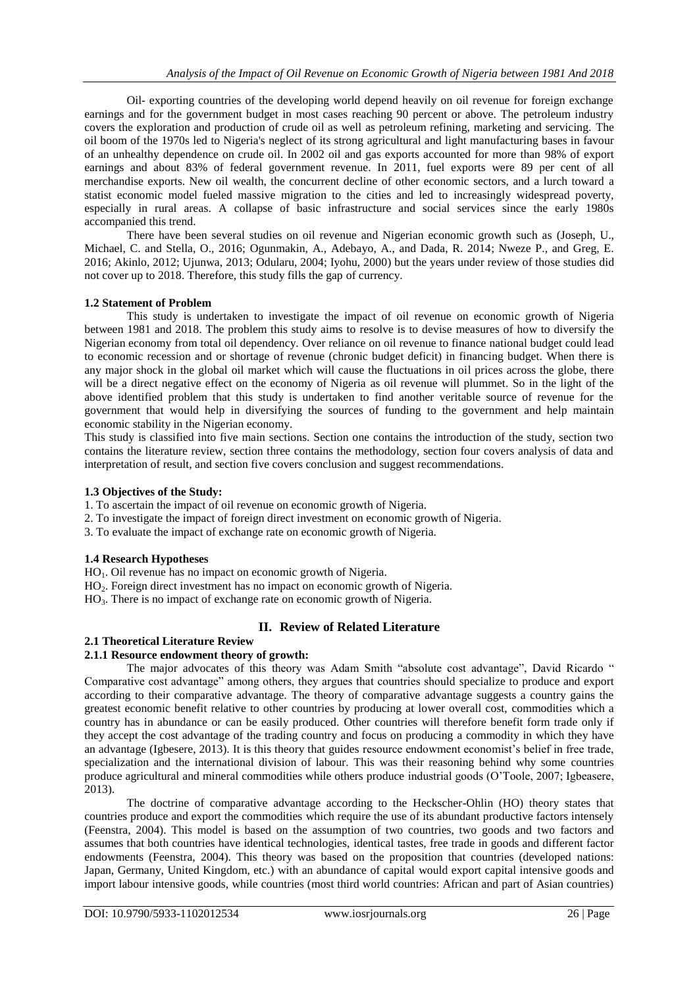Oil- exporting countries of the developing world depend heavily on oil revenue for foreign exchange earnings and for the government budget in most cases reaching 90 percent or above. The petroleum industry covers the exploration and production of crude oil as well as petroleum refining, marketing and servicing. The oil boom of the 1970s led to Nigeria's neglect of its strong agricultural and light manufacturing bases in favour of an unhealthy dependence on crude oil. In 2002 oil and gas exports accounted for more than 98% of export earnings and about 83% of federal government revenue. In 2011, fuel exports were 89 per cent of all merchandise exports. New oil wealth, the concurrent decline of other economic sectors, and a lurch toward a statist economic model fueled massive migration to the cities and led to increasingly widespread poverty, especially in rural areas. A collapse of basic infrastructure and social services since the early 1980s accompanied this trend.

There have been several studies on oil revenue and Nigerian economic growth such as (Joseph, U., Michael, C. and Stella, O., 2016; Ogunmakin, A., Adebayo, A., and Dada, R. 2014; Nweze P., and Greg, E. 2016; Akinlo, 2012; Ujunwa, 2013; Odularu, 2004; Iyohu, 2000) but the years under review of those studies did not cover up to 2018. Therefore, this study fills the gap of currency.

## **1.2 Statement of Problem**

This study is undertaken to investigate the impact of oil revenue on economic growth of Nigeria between 1981 and 2018. The problem this study aims to resolve is to devise measures of how to diversify the Nigerian economy from total oil dependency. Over reliance on oil revenue to finance national budget could lead to economic recession and or shortage of revenue (chronic budget deficit) in financing budget. When there is any major shock in the global oil market which will cause the fluctuations in oil prices across the globe, there will be a direct negative effect on the economy of Nigeria as oil revenue will plummet. So in the light of the above identified problem that this study is undertaken to find another veritable source of revenue for the government that would help in diversifying the sources of funding to the government and help maintain economic stability in the Nigerian economy.

This study is classified into five main sections. Section one contains the introduction of the study, section two contains the literature review, section three contains the methodology, section four covers analysis of data and interpretation of result, and section five covers conclusion and suggest recommendations.

#### **1.3 Objectives of the Study:**

1. To ascertain the impact of oil revenue on economic growth of Nigeria.

- 2. To investigate the impact of foreign direct investment on economic growth of Nigeria.
- 3. To evaluate the impact of exchange rate on economic growth of Nigeria.

## **1.4 Research Hypotheses**

HO1. Oil revenue has no impact on economic growth of Nigeria.

HO<sub>2</sub>. Foreign direct investment has no impact on economic growth of Nigeria.

 $HO<sub>3</sub>$ . There is no impact of exchange rate on economic growth of Nigeria.

# **II. Review of Related Literature**

#### **2.1 Theoretical Literature Review 2.1.1 Resource endowment theory of growth:**

The major advocates of this theory was Adam Smith "absolute cost advantage", David Ricardo " Comparative cost advantage" among others, they argues that countries should specialize to produce and export according to their comparative advantage. The theory of comparative advantage suggests a country gains the greatest economic benefit relative to other countries by producing at lower overall cost, commodities which a country has in abundance or can be easily produced. Other countries will therefore benefit form trade only if they accept the cost advantage of the trading country and focus on producing a commodity in which they have an advantage (Igbesere, 2013). It is this theory that guides resource endowment economist's belief in free trade, specialization and the international division of labour. This was their reasoning behind why some countries produce agricultural and mineral commodities while others produce industrial goods (O'Toole, 2007; Igbeasere, 2013).

The doctrine of comparative advantage according to the Heckscher-Ohlin (HO) theory states that countries produce and export the commodities which require the use of its abundant productive factors intensely (Feenstra, 2004). This model is based on the assumption of two countries, two goods and two factors and assumes that both countries have identical technologies, identical tastes, free trade in goods and different factor endowments (Feenstra, 2004). This theory was based on the proposition that countries (developed nations: Japan, Germany, United Kingdom, etc.) with an abundance of capital would export capital intensive goods and import labour intensive goods, while countries (most third world countries: African and part of Asian countries)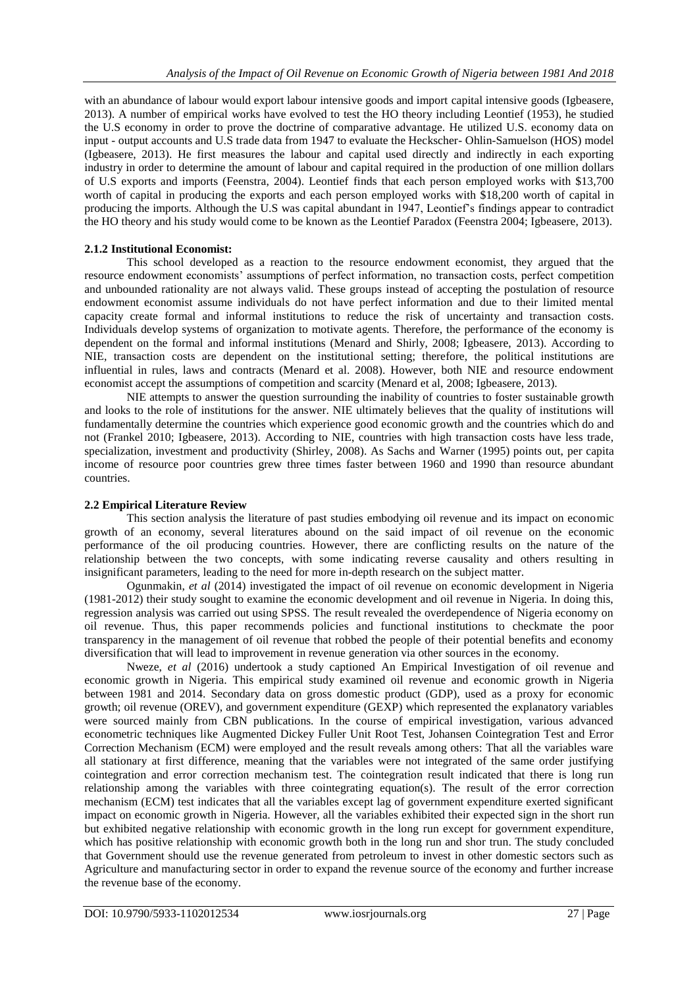with an abundance of labour would export labour intensive goods and import capital intensive goods (Igbeasere, 2013). A number of empirical works have evolved to test the HO theory including Leontief (1953), he studied the U.S economy in order to prove the doctrine of comparative advantage. He utilized U.S. economy data on input - output accounts and U.S trade data from 1947 to evaluate the Heckscher- Ohlin-Samuelson (HOS) model (Igbeasere, 2013). He first measures the labour and capital used directly and indirectly in each exporting industry in order to determine the amount of labour and capital required in the production of one million dollars of U.S exports and imports (Feenstra, 2004). Leontief finds that each person employed works with \$13,700 worth of capital in producing the exports and each person employed works with \$18,200 worth of capital in producing the imports. Although the U.S was capital abundant in 1947, Leontief's findings appear to contradict the HO theory and his study would come to be known as the Leontief Paradox (Feenstra 2004; Igbeasere, 2013).

#### **2.1.2 Institutional Economist:**

This school developed as a reaction to the resource endowment economist, they argued that the resource endowment economists' assumptions of perfect information, no transaction costs, perfect competition and unbounded rationality are not always valid. These groups instead of accepting the postulation of resource endowment economist assume individuals do not have perfect information and due to their limited mental capacity create formal and informal institutions to reduce the risk of uncertainty and transaction costs. Individuals develop systems of organization to motivate agents. Therefore, the performance of the economy is dependent on the formal and informal institutions (Menard and Shirly, 2008; Igbeasere, 2013). According to NIE, transaction costs are dependent on the institutional setting; therefore, the political institutions are influential in rules, laws and contracts (Menard et al. 2008). However, both NIE and resource endowment economist accept the assumptions of competition and scarcity (Menard et al, 2008; Igbeasere, 2013).

NIE attempts to answer the question surrounding the inability of countries to foster sustainable growth and looks to the role of institutions for the answer. NIE ultimately believes that the quality of institutions will fundamentally determine the countries which experience good economic growth and the countries which do and not (Frankel 2010; Igbeasere, 2013). According to NIE, countries with high transaction costs have less trade, specialization, investment and productivity (Shirley, 2008). As Sachs and Warner (1995) points out, per capita income of resource poor countries grew three times faster between 1960 and 1990 than resource abundant countries.

#### **2.2 Empirical Literature Review**

This section analysis the literature of past studies embodying oil revenue and its impact on economic growth of an economy, several literatures abound on the said impact of oil revenue on the economic performance of the oil producing countries. However, there are conflicting results on the nature of the relationship between the two concepts, with some indicating reverse causality and others resulting in insignificant parameters, leading to the need for more in-depth research on the subject matter.

Ogunmakin, *et al* (2014) investigated the impact of oil revenue on economic development in Nigeria (1981-2012) their study sought to examine the economic development and oil revenue in Nigeria. In doing this, regression analysis was carried out using SPSS. The result revealed the overdependence of Nigeria economy on oil revenue. Thus, this paper recommends policies and functional institutions to checkmate the poor transparency in the management of oil revenue that robbed the people of their potential benefits and economy diversification that will lead to improvement in revenue generation via other sources in the economy.

Nweze, *et al* (2016) undertook a study captioned An Empirical Investigation of oil revenue and economic growth in Nigeria. This empirical study examined oil revenue and economic growth in Nigeria between 1981 and 2014. Secondary data on gross domestic product (GDP), used as a proxy for economic growth; oil revenue (OREV), and government expenditure (GEXP) which represented the explanatory variables were sourced mainly from CBN publications. In the course of empirical investigation, various advanced econometric techniques like Augmented Dickey Fuller Unit Root Test, Johansen Cointegration Test and Error Correction Mechanism (ECM) were employed and the result reveals among others: That all the variables ware all stationary at first difference, meaning that the variables were not integrated of the same order justifying cointegration and error correction mechanism test. The cointegration result indicated that there is long run relationship among the variables with three cointegrating equation(s). The result of the error correction mechanism (ECM) test indicates that all the variables except lag of government expenditure exerted significant impact on economic growth in Nigeria. However, all the variables exhibited their expected sign in the short run but exhibited negative relationship with economic growth in the long run except for government expenditure, which has positive relationship with economic growth both in the long run and shor trun. The study concluded that Government should use the revenue generated from petroleum to invest in other domestic sectors such as Agriculture and manufacturing sector in order to expand the revenue source of the economy and further increase the revenue base of the economy.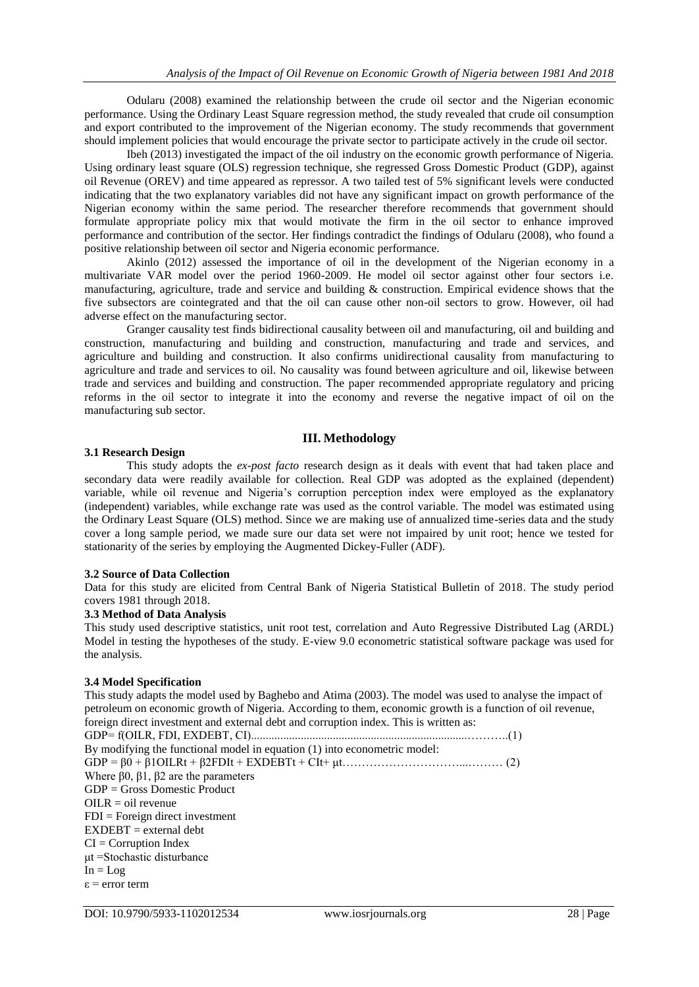Odularu (2008) examined the relationship between the crude oil sector and the Nigerian economic performance. Using the Ordinary Least Square regression method, the study revealed that crude oil consumption and export contributed to the improvement of the Nigerian economy. The study recommends that government should implement policies that would encourage the private sector to participate actively in the crude oil sector.

Ibeh (2013) investigated the impact of the oil industry on the economic growth performance of Nigeria. Using ordinary least square (OLS) regression technique, she regressed Gross Domestic Product (GDP), against oil Revenue (OREV) and time appeared as repressor. A two tailed test of 5% significant levels were conducted indicating that the two explanatory variables did not have any significant impact on growth performance of the Nigerian economy within the same period. The researcher therefore recommends that government should formulate appropriate policy mix that would motivate the firm in the oil sector to enhance improved performance and contribution of the sector. Her findings contradict the findings of Odularu (2008), who found a positive relationship between oil sector and Nigeria economic performance.

Akinlo (2012) assessed the importance of oil in the development of the Nigerian economy in a multivariate VAR model over the period 1960-2009. He model oil sector against other four sectors i.e. manufacturing, agriculture, trade and service and building & construction. Empirical evidence shows that the five subsectors are cointegrated and that the oil can cause other non-oil sectors to grow. However, oil had adverse effect on the manufacturing sector.

Granger causality test finds bidirectional causality between oil and manufacturing, oil and building and construction, manufacturing and building and construction, manufacturing and trade and services, and agriculture and building and construction. It also confirms unidirectional causality from manufacturing to agriculture and trade and services to oil. No causality was found between agriculture and oil, likewise between trade and services and building and construction. The paper recommended appropriate regulatory and pricing reforms in the oil sector to integrate it into the economy and reverse the negative impact of oil on the manufacturing sub sector.

#### **III. Methodology**

#### **3.1 Research Design**

This study adopts the *ex-post facto* research design as it deals with event that had taken place and secondary data were readily available for collection. Real GDP was adopted as the explained (dependent) variable, while oil revenue and Nigeria's corruption perception index were employed as the explanatory (independent) variables, while exchange rate was used as the control variable. The model was estimated using the Ordinary Least Square (OLS) method. Since we are making use of annualized time-series data and the study cover a long sample period, we made sure our data set were not impaired by unit root; hence we tested for stationarity of the series by employing the Augmented Dickey-Fuller (ADF).

#### **3.2 Source of Data Collection**

Data for this study are elicited from Central Bank of Nigeria Statistical Bulletin of 2018. The study period covers 1981 through 2018.

#### **3.3 Method of Data Analysis**

This study used descriptive statistics, unit root test, correlation and Auto Regressive Distributed Lag (ARDL) Model in testing the hypotheses of the study. E-view 9.0 econometric statistical software package was used for the analysis.

#### **3.4 Model Specification**

This study adapts the model used by Baghebo and Atima (2003). The model was used to analyse the impact of petroleum on economic growth of Nigeria. According to them, economic growth is a function of oil revenue, foreign direct investment and external debt and corruption index. This is written as:

GDP= f(OILR, FDI, EXDEBT, CI)..........................................................................………..(1) By modifying the functional model in equation (1) into econometric model: GDP = β0 + β1OILRt + β2FDIt + EXDEBTt + CIt+ μt…………………………...……… (2) Where  $β0$ ,  $β1$ ,  $β2$  are the parameters GDP = Gross Domestic Product  $OLR = oil$  revenue  $FDI = Foreign direct investment$  $EXDEBT = external debt$ CI = Corruption Index μt =Stochastic disturbance  $In = Log$ ε = error term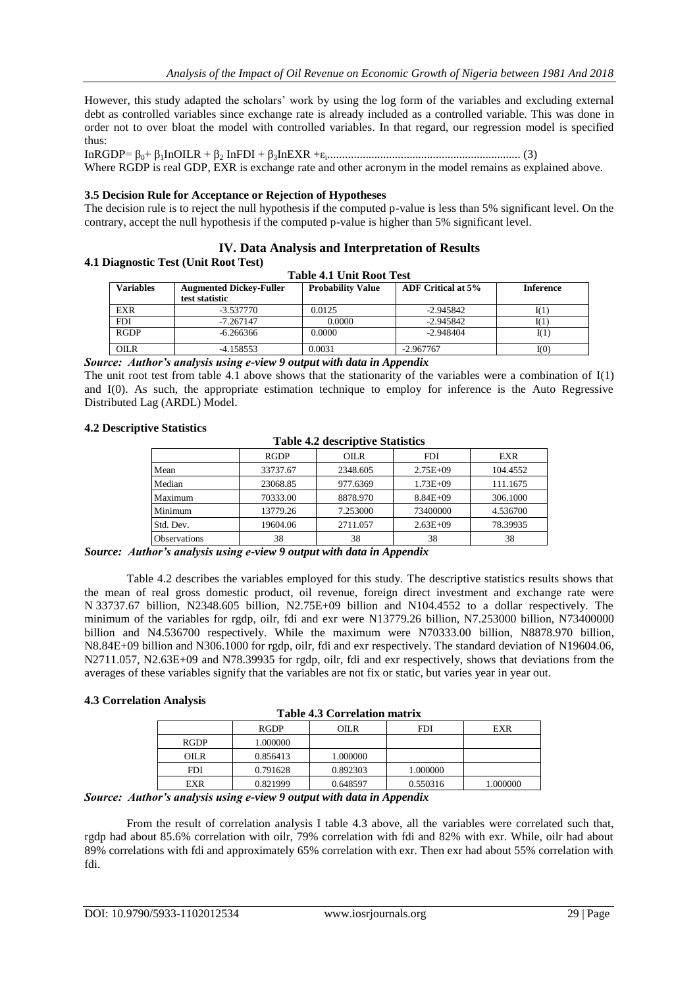However, this study adapted the scholars' work by using the log form of the variables and excluding external debt as controlled variables since exchange rate is already included as a controlled variable. This was done in order not to over bloat the model with controlled variables. In that regard, our regression model is specified thus:

 $InRGDP =  $\beta_0 + \beta_1 In OILR + \beta_2 InFDI + \beta_3 InEXR + \varepsilon_i$$ Where RGDP is real GDP, EXR is exchange rate and other acronym in the model remains as explained above.

#### **3.5 Decision Rule for Acceptance or Rejection of Hypotheses**

The decision rule is to reject the null hypothesis if the computed p-value is less than 5% significant level. On the contrary, accept the null hypothesis if the computed p-value is higher than 5% significant level.

# **IV. Data Analysis and Interpretation of Results**

#### **4.1 Diagnostic Test (Unit Root Test) Table 4.1 Unit Root Test**

| Variables   | <b>Augmented Dickey-Fuller</b><br>test statistic | Tadie 4.1 Uhit Kool Test<br><b>Probability Value</b> | <b>ADF</b> Critical at 5% | <b>Inference</b> |
|-------------|--------------------------------------------------|------------------------------------------------------|---------------------------|------------------|
| EXR         | $-3.537770$                                      | 0.0125                                               | $-2.945842$               |                  |
| <b>FDI</b>  | $-7.267147$                                      | 0.0000                                               | $-2.945842$               |                  |
| <b>RGDP</b> | $-6.266366$                                      | 0.0000                                               | $-2.948404$               | I(1)             |
| <b>OILR</b> | $-4.158553$                                      | 0.0031                                               | $-2.967767$               | I(O)             |

*Source: Author's analysis using e-view 9 output with data in Appendix* 

The unit root test from table 4.1 above shows that the stationarity of the variables were a combination of  $I(1)$ and I(0). As such, the appropriate estimation technique to employ for inference is the Auto Regressive Distributed Lag (ARDL) Model.

#### **4.2 Descriptive Statistics**

| <b>Table 4.4 descriptive Statistics</b> |             |             |              |            |  |
|-----------------------------------------|-------------|-------------|--------------|------------|--|
|                                         | <b>RGDP</b> | <b>OILR</b> | <b>FDI</b>   | <b>EXR</b> |  |
| Mean                                    | 33737.67    | 2348.605    | $2.75E+09$   | 104.4552   |  |
| Median                                  | 23068.85    | 977.6369    | $1.73E + 09$ | 111.1675   |  |
| Maximum                                 | 70333.00    | 8878.970    | $8.84E + 09$ | 306.1000   |  |
| Minimum                                 | 13779.26    | 7.253000    | 73400000     | 4.536700   |  |
| Std. Dev.                               | 19604.06    | 2711.057    | $2.63E + 09$ | 78.39935   |  |
| <b>Observations</b>                     | 38          | 38          | 38           | 38         |  |

**Table 4.2 descriptive Statistics**

Table 4.2 describes the variables employed for this study. The descriptive statistics results shows that the mean of real gross domestic product, oil revenue, foreign direct investment and exchange rate were N 33737.67 billion, N2348.605 billion, N2.75E+09 billion and N104.4552 to a dollar respectively. The minimum of the variables for rgdp, oilr, fdi and exr were N13779.26 billion, N7.253000 billion, N73400000 billion and N4.536700 respectively. While the maximum were N70333.00 billion, N8878.970 billion, N8.84E+09 billion and N306.1000 for rgdp, oilr, fdi and exr respectively. The standard deviation of N19604.06, N2711.057, N2.63E+09 and N78.39935 for rgdp, oilr, fdi and exr respectively, shows that deviations from the averages of these variables signify that the variables are not fix or static, but varies year in year out.

## **4.3 Correlation Analysis**

**Table 4.3 Correlation matrix**

| TWORD IN COTTEMNION MARTIN |             |          |            |          |  |  |
|----------------------------|-------------|----------|------------|----------|--|--|
|                            | <b>RGDP</b> | OILR.    | <b>FDI</b> | EXR      |  |  |
| <b>RGDP</b>                | 1.000000    |          |            |          |  |  |
| OILR                       | 0.856413    | 1.000000 |            |          |  |  |
| <b>FDI</b>                 | 0.791628    | 0.892303 | 1.000000   |          |  |  |
| <b>EXR</b>                 | 0.821999    | 0.648597 | 0.550316   | 1.000000 |  |  |

#### *Source: Author's analysis using e-view 9 output with data in Appendix*

From the result of correlation analysis I table 4.3 above, all the variables were correlated such that, rgdp had about 85.6% correlation with oilr, 79% correlation with fdi and 82% with exr. While, oilr had about 89% correlations with fdi and approximately 65% correlation with exr. Then exr had about 55% correlation with fdi.

*Source: Author's analysis using e-view 9 output with data in Appendix*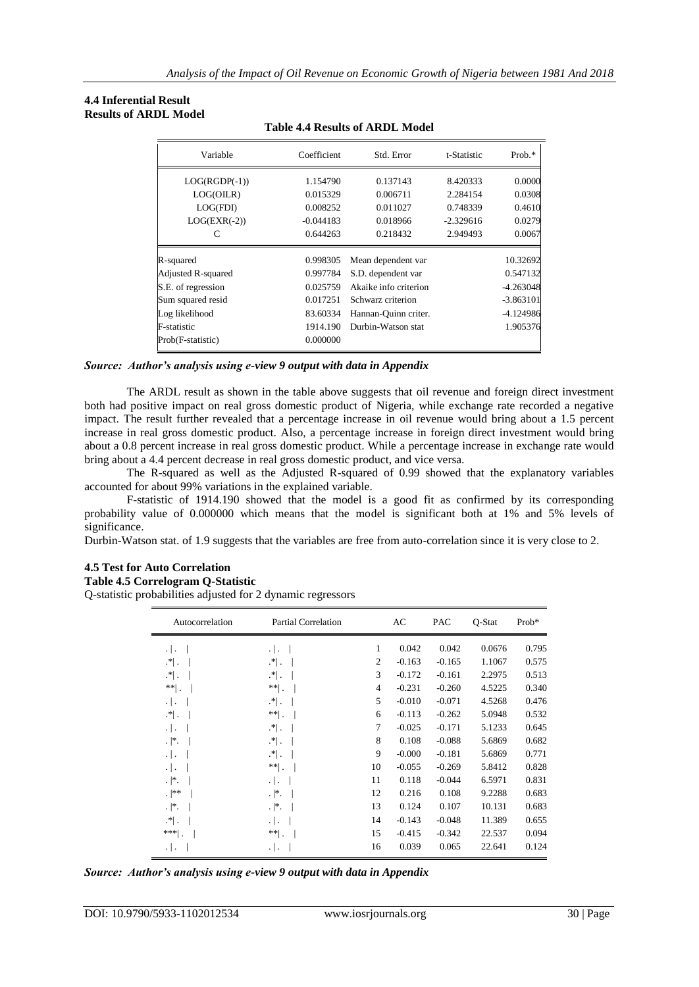#### **4.4 Inferential Result Results of ARDL Model**

| Coefficient | Std. Error            | t-Statistic | Prob.*      |
|-------------|-----------------------|-------------|-------------|
| 1.154790    | 0.137143              | 8.420333    | 0.0000      |
| 0.015329    | 0.006711              | 2.284154    | 0.0308      |
| 0.008252    | 0.011027              | 0.748339    | 0.4610      |
| $-0.044183$ | 0.018966              | $-2.329616$ | 0.0279      |
| 0.644263    | 0.218432              | 2.949493    | 0.0067      |
| 0.998305    | Mean dependent var    |             | 10.32692    |
| 0.997784    | S.D. dependent var    |             | 0.547132    |
| 0.025759    | Akaike info criterion |             | $-4.263048$ |
| 0.017251    | Schwarz criterion     |             | $-3.863101$ |
| 83.60334    | Hannan-Quinn criter.  |             | -4.124986   |
| 1914.190    | Durbin-Watson stat    |             | 1.905376    |
| 0.000000    |                       |             |             |
|             |                       |             |             |

**Table 4.4 Results of ARDL Model**

#### *Source: Author's analysis using e-view 9 output with data in Appendix*

The ARDL result as shown in the table above suggests that oil revenue and foreign direct investment both had positive impact on real gross domestic product of Nigeria, while exchange rate recorded a negative impact. The result further revealed that a percentage increase in oil revenue would bring about a 1.5 percent increase in real gross domestic product. Also, a percentage increase in foreign direct investment would bring about a 0.8 percent increase in real gross domestic product. While a percentage increase in exchange rate would bring about a 4.4 percent decrease in real gross domestic product, and vice versa.

The R-squared as well as the Adjusted R-squared of 0.99 showed that the explanatory variables accounted for about 99% variations in the explained variable.

F-statistic of 1914.190 showed that the model is a good fit as confirmed by its corresponding probability value of 0.000000 which means that the model is significant both at 1% and 5% levels of significance.

Durbin-Watson stat. of 1.9 suggests that the variables are free from auto-correlation since it is very close to 2.

#### **4.5 Test for Auto Correlation**

#### **Table 4.5 Correlogram Q-Statistic**

Q-statistic probabilities adjusted for 2 dynamic regressors

| Autocorrelation          | <b>Partial Correlation</b> |                | AC       | <b>PAC</b> | Q-Stat | $Prob*$ |
|--------------------------|----------------------------|----------------|----------|------------|--------|---------|
| $\cdot$ .                | $\cdot$ .                  | 1              | 0.042    | 0.042      | 0.0676 | 0.795   |
| $\left  \cdot \right $ . | $\left  \cdot \right $ .   | 2              | $-0.163$ | $-0.165$   | 1.1067 | 0.575   |
| $\left  \cdot \right $ . | $\mathcal{F}$ .            | 3              | $-0.172$ | $-0.161$   | 2.2975 | 0.513   |
| ** .                     | ** .                       | $\overline{4}$ | $-0.231$ | $-0.260$   | 4.5225 | 0.340   |
| $\cdot$ .                | $\mathcal{F}$ .            | 5              | $-0.010$ | $-0.071$   | 4.5268 | 0.476   |
| $\left  \cdot \right $ . | **∣.                       | 6              | $-0.113$ | $-0.262$   | 5.0948 | 0.532   |
| $\cdot$ .                | $\mathcal{F}$ .            | 7              | $-0.025$ | $-0.171$   | 5.1233 | 0.645   |
| $\cdot$  * .             | $\left  \cdot \right $ .   | 8              | 0.108    | $-0.088$   | 5.6869 | 0.682   |
| $\cdot$ .                | $\left  \cdot \right $ .   | 9              | $-0.000$ | $-0.181$   | 5.6869 | 0.771   |
| $\cdot$ .                | $**$ .                     | 10             | $-0.055$ | $-0.269$   | 5.8412 | 0.828   |
| $\cdot$  *.              | $\cdot$ .                  | 11             | 0.118    | $-0.044$   | 6.5971 | 0.831   |
| .  **                    | $\cdot$ $^*$ .             | 12             | 0.216    | 0.108      | 9.2288 | 0.683   |
| $\cdot$  *.              | $\cdot$  * .               | 13             | 0.124    | 0.107      | 10.131 | 0.683   |
| $\mathcal{F}$ .          | $\cdot$ .                  | 14             | $-0.143$ | $-0.048$   | 11.389 | 0.655   |
| $***$ $\vert$ .          | $^{\ast\ast} $ .           | 15             | $-0.415$ | $-0.342$   | 22.537 | 0.094   |
| $\cdot$ .                | .                          | 16             | 0.039    | 0.065      | 22.641 | 0.124   |
|                          |                            |                |          |            |        |         |

*Source: Author's analysis using e-view 9 output with data in Appendix*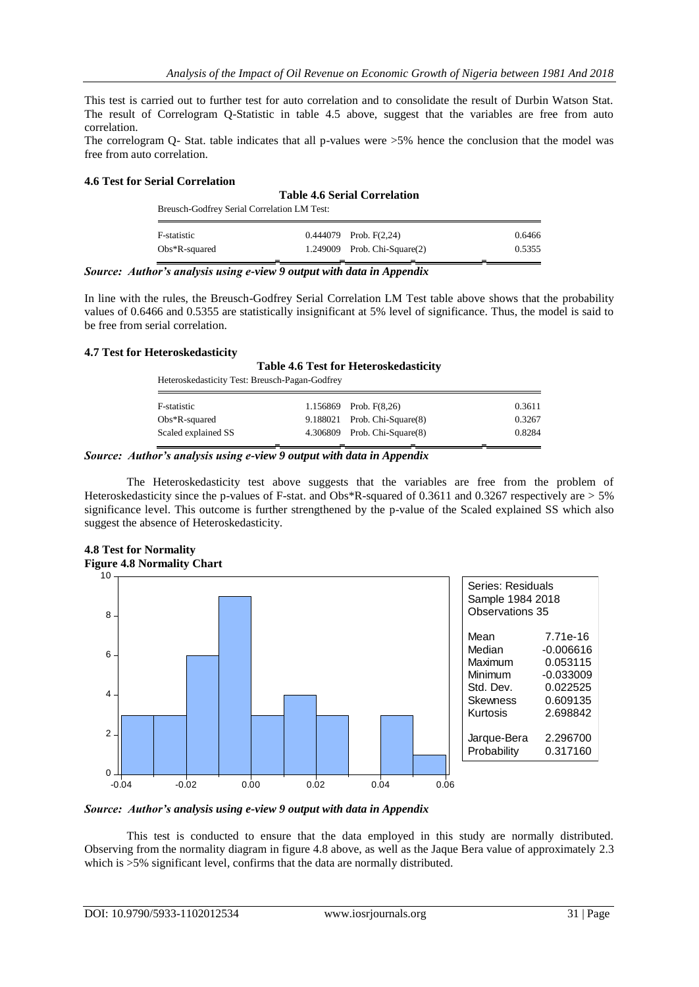This test is carried out to further test for auto correlation and to consolidate the result of Durbin Watson Stat. The result of Correlogram Q-Statistic in table 4.5 above, suggest that the variables are free from auto correlation.

The correlogram Q- Stat. table indicates that all p-values were >5% hence the conclusion that the model was free from auto correlation.

#### **4.6 Test for Serial Correlation**

| <b>Table 4.6 Serial Correlation</b>         |  |                                   |        |  |  |  |
|---------------------------------------------|--|-----------------------------------|--------|--|--|--|
| Breusch-Godfrey Serial Correlation LM Test: |  |                                   |        |  |  |  |
| F-statistic                                 |  | $0.444079$ Prob. $F(2.24)$        | 0.6466 |  |  |  |
| $Obs*R$ -squared                            |  | $1.249009$ Prob. Chi-Square $(2)$ | 0.5355 |  |  |  |

*Source: Author's analysis using e-view 9 output with data in Appendix*

In line with the rules, the Breusch-Godfrey Serial Correlation LM Test table above shows that the probability values of 0.6466 and 0.5355 are statistically insignificant at 5% level of significance. Thus, the model is said to be free from serial correlation.

#### **4.7 Test for Heteroskedasticity**

| <b>Table 4.6 Test for Heteroskedasticity</b>   |  |                              |        |  |  |
|------------------------------------------------|--|------------------------------|--------|--|--|
| Heteroskedasticity Test: Breusch-Pagan-Godfrey |  |                              |        |  |  |
| F-statistic                                    |  | 1.156869 Prob. F(8,26)       | 0.3611 |  |  |
| $Obs*R$ -squared                               |  | 9.188021 Prob. Chi-Square(8) | 0.3267 |  |  |
| Scaled explained SS                            |  | 4.306809 Prob. Chi-Square(8) | 0.8284 |  |  |

#### *Source: Author's analysis using e-view 9 output with data in Appendix*

The Heteroskedasticity test above suggests that the variables are free from the problem of Heteroskedasticity since the p-values of F-stat. and Obs\*R-squared of 0.3611 and 0.3267 respectively are  $> 5\%$ significance level. This outcome is further strengthened by the p-value of the Scaled explained SS which also suggest the absence of Heteroskedasticity.



# **4.8 Test for Normality**

*Source: Author's analysis using e-view 9 output with data in Appendix*

This test is conducted to ensure that the data employed in this study are normally distributed. Observing from the normality diagram in figure 4.8 above, as well as the Jaque Bera value of approximately 2.3 which is >5% significant level, confirms that the data are normally distributed.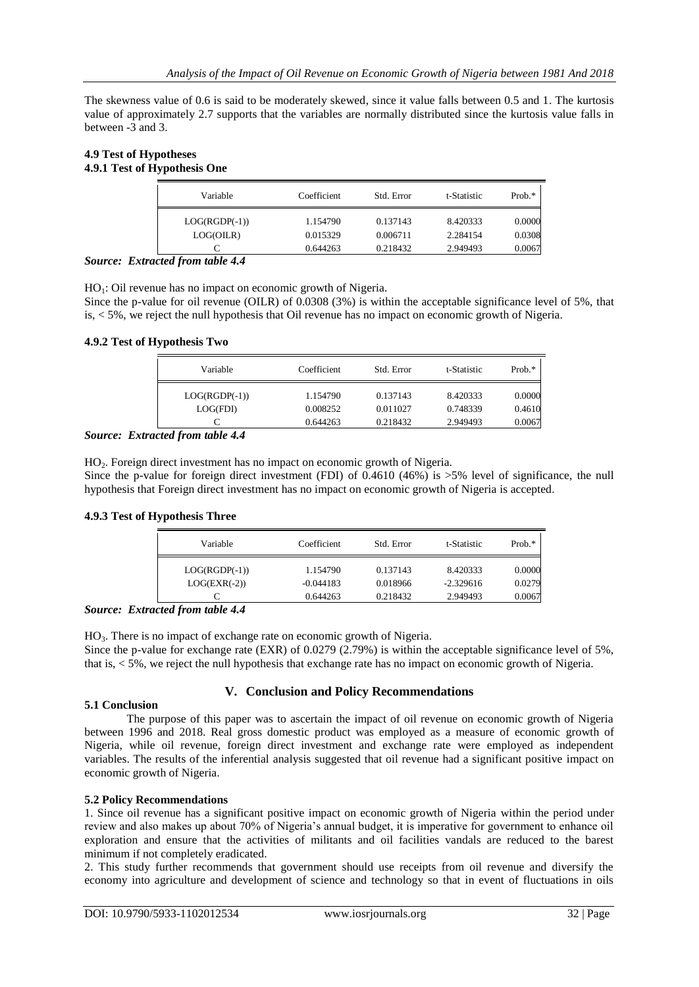The skewness value of 0.6 is said to be moderately skewed, since it value falls between 0.5 and 1. The kurtosis value of approximately 2.7 supports that the variables are normally distributed since the kurtosis value falls in between -3 and 3.

#### **4.9 Test of Hypotheses 4.9.1 Test of Hypothesis One**

| Variable        | Coefficient | Std. Error | t-Statistic | Prob. $*$ |
|-----------------|-------------|------------|-------------|-----------|
| $LOG(RGDP(-1))$ | 1.154790    | 0.137143   | 8.420333    | 0.0000    |
| LOG(OILR)       | 0.015329    | 0.006711   | 2.284154    | 0.0308    |
|                 | 0.644263    | 0.218432   | 2.949493    | 0.0067    |

#### *Source: Extracted from table 4.4*

 $HO_1$ : Oil revenue has no impact on economic growth of Nigeria.

Since the p-value for oil revenue (OILR) of 0.0308 (3%) is within the acceptable significance level of 5%, that is, < 5%, we reject the null hypothesis that Oil revenue has no impact on economic growth of Nigeria.

#### **4.9.2 Test of Hypothesis Two**

| Variable        | Coefficient | Std. Error | t-Statistic | Prob. $*$ |
|-----------------|-------------|------------|-------------|-----------|
| $LOG(RGDP(-1))$ | 1.154790    | 0.137143   | 8.420333    | 0.0000    |
| LOG(FDI)        | 0.008252    | 0.011027   | 0.748339    | 0.4610    |
|                 | 0.644263    | 0.218432   | 2.949493    | 0.0067    |

#### *Source: Extracted from table 4.4*

HO2. Foreign direct investment has no impact on economic growth of Nigeria.

Since the p-value for foreign direct investment (FDI) of 0.4610 (46%) is >5% level of significance, the null hypothesis that Foreign direct investment has no impact on economic growth of Nigeria is accepted.

## **4.9.3 Test of Hypothesis Three**

| Variable        | Coefficient | Std. Error | t-Statistic | $Prob.*$ |
|-----------------|-------------|------------|-------------|----------|
| $LOG(RGDP(-1))$ | 1.154790    | 0.137143   | 8.420333    | 0.0000   |
| $LOG(EXR(-2))$  | $-0.044183$ | 0.018966   | $-2.329616$ | 0.0279   |
|                 | 0.644263    | 0.218432   | 2.949493    | 0.0067   |

# *Source: Extracted from table 4.4*

HO3. There is no impact of exchange rate on economic growth of Nigeria. Since the p-value for exchange rate (EXR) of 0.0279 (2.79%) is within the acceptable significance level of 5%, that is,  $\leq$  5%, we reject the null hypothesis that exchange rate has no impact on economic growth of Nigeria.

## **V. Conclusion and Policy Recommendations**

#### **5.1 Conclusion**

The purpose of this paper was to ascertain the impact of oil revenue on economic growth of Nigeria between 1996 and 2018. Real gross domestic product was employed as a measure of economic growth of Nigeria, while oil revenue, foreign direct investment and exchange rate were employed as independent variables. The results of the inferential analysis suggested that oil revenue had a significant positive impact on economic growth of Nigeria.

## **5.2 Policy Recommendations**

1. Since oil revenue has a significant positive impact on economic growth of Nigeria within the period under review and also makes up about 70% of Nigeria's annual budget, it is imperative for government to enhance oil exploration and ensure that the activities of militants and oil facilities vandals are reduced to the barest minimum if not completely eradicated.

2. This study further recommends that government should use receipts from oil revenue and diversify the economy into agriculture and development of science and technology so that in event of fluctuations in oils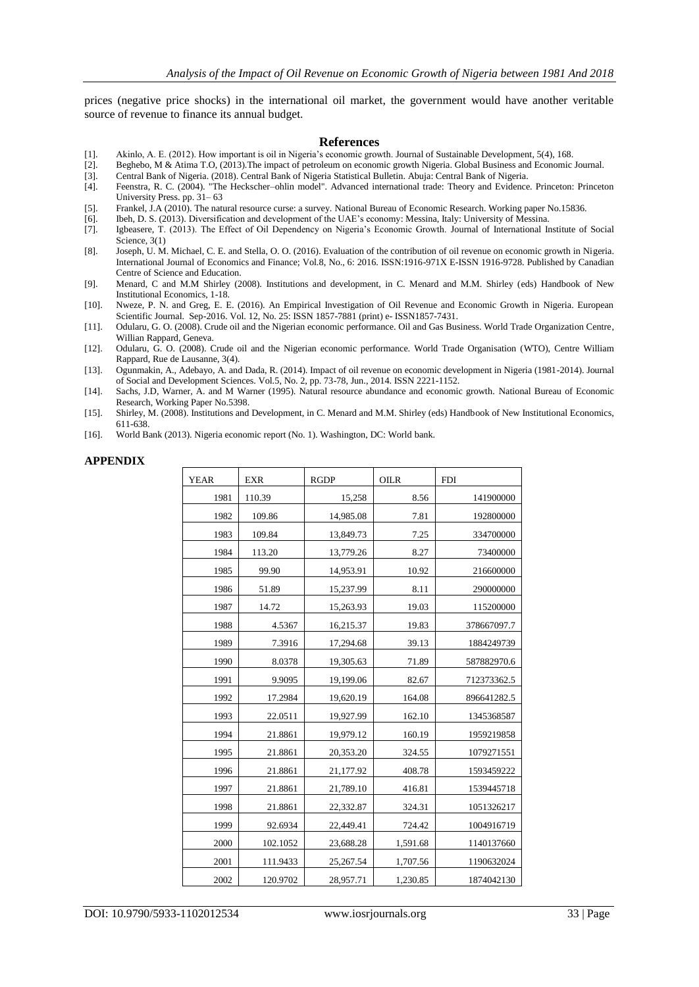prices (negative price shocks) in the international oil market, the government would have another veritable source of revenue to finance its annual budget.

#### **References**

- [1]. Akinlo, A. E. (2012). How important is oil in Nigeria's economic growth. Journal of Sustainable Development, 5(4), 168.
- [2]. Beghebo, M & Atima T.O, (2013).The impact of petroleum on economic growth Nigeria. Global Business and Economic Journal.
- [3]. Central Bank of Nigeria. (2018). Central Bank of Nigeria Statistical Bulletin. Abuja: Central Bank of Nigeria.
- Feenstra, R. C. (2004). "The Heckscher–ohlin model". Advanced international trade: Theory and Evidence. Princeton: Princeton University Press. pp. 31– 63
- [5]. Frankel, J.A (2010). The natural resource curse: a survey. National Bureau of Economic Research. Working paper No.15836.
- [6]. Ibeh, D. S. (2013). Diversification and development of the UAE's economy: Messina, Italy: University of Messina.
- Igbeasere, T. (2013). The Effect of Oil Dependency on Nigeria's Economic Growth. Journal of International Institute of Social Science, 3(1)
- [8]. Joseph, U. M. Michael, C. E. and Stella, O. O. (2016). Evaluation of the contribution of oil revenue on economic growth in Nigeria. International Journal of Economics and Finance; Vol.8, No., 6: 2016. ISSN:1916-971X E-ISSN 1916-9728. Published by Canadian Centre of Science and Education.
- [9]. Menard, C and M.M Shirley (2008). Institutions and development, in C. Menard and M.M. Shirley (eds) Handbook of New Institutional Economics, 1-18.
- [10]. Nweze, P. N. and Greg, E. E. (2016). An Empirical Investigation of Oil Revenue and Economic Growth in Nigeria. European Scientific Journal. Sep-2016. Vol. 12, No. 25: ISSN 1857-7881 (print) e- ISSN1857-7431.
- [11]. Odularu, G. O. (2008). Crude oil and the Nigerian economic performance. Oil and Gas Business. World Trade Organization Centre, Willian Rappard, Geneva.
- [12]. Odularu, G. O. (2008). Crude oil and the Nigerian economic performance. World Trade Organisation (WTO), Centre William Rappard, Rue de Lausanne, 3(4).
- [13]. Ogunmakin, A., Adebayo, A. and Dada, R. (2014). Impact of oil revenue on economic development in Nigeria (1981-2014). Journal of Social and Development Sciences. Vol.5, No. 2, pp. 73-78, Jun., 2014. ISSN 2221-1152.
- [14]. Sachs, J.D, Warner, A. and M Warner (1995). Natural resource abundance and economic growth. National Bureau of Economic Research, Working Paper No.5398.
- [15]. Shirley, M. (2008). Institutions and Development, in C. Menard and M.M. Shirley (eds) Handbook of New Institutional Economics, 611-638.
- [16]. World Bank (2013). Nigeria economic report (No. 1). Washington, DC: World bank.

#### **APPENDIX**

| <b>YEAR</b> | <b>EXR</b> | <b>RGDP</b> | <b>OILR</b> | <b>FDI</b>  |
|-------------|------------|-------------|-------------|-------------|
| 1981        | 110.39     | 15,258      | 8.56        | 141900000   |
| 1982        | 109.86     | 14,985.08   | 7.81        | 192800000   |
| 1983        | 109.84     | 13,849.73   | 7.25        | 334700000   |
| 1984        | 113.20     | 13,779.26   | 8.27        | 73400000    |
| 1985        | 99.90      | 14,953.91   | 10.92       | 216600000   |
| 1986        | 51.89      | 15,237.99   | 8.11        | 290000000   |
| 1987        | 14.72      | 15,263.93   | 19.03       | 115200000   |
| 1988        | 4.5367     | 16,215.37   | 19.83       | 378667097.7 |
| 1989        | 7.3916     | 17,294.68   | 39.13       | 1884249739  |
| 1990        | 8.0378     | 19,305.63   | 71.89       | 587882970.6 |
| 1991        | 9.9095     | 19,199.06   | 82.67       | 712373362.5 |
| 1992        | 17.2984    | 19,620.19   | 164.08      | 896641282.5 |
| 1993        | 22.0511    | 19,927.99   | 162.10      | 1345368587  |
| 1994        | 21.8861    | 19,979.12   | 160.19      | 1959219858  |
| 1995        | 21.8861    | 20,353.20   | 324.55      | 1079271551  |
| 1996        | 21.8861    | 21,177.92   | 408.78      | 1593459222  |
| 1997        | 21.8861    | 21,789.10   | 416.81      | 1539445718  |
| 1998        | 21.8861    | 22,332.87   | 324.31      | 1051326217  |
| 1999        | 92.6934    | 22,449.41   | 724.42      | 1004916719  |
| 2000        | 102.1052   | 23,688.28   | 1,591.68    | 1140137660  |
| 2001        | 111.9433   | 25,267.54   | 1,707.56    | 1190632024  |
| 2002        | 120.9702   | 28,957.71   | 1,230.85    | 1874042130  |